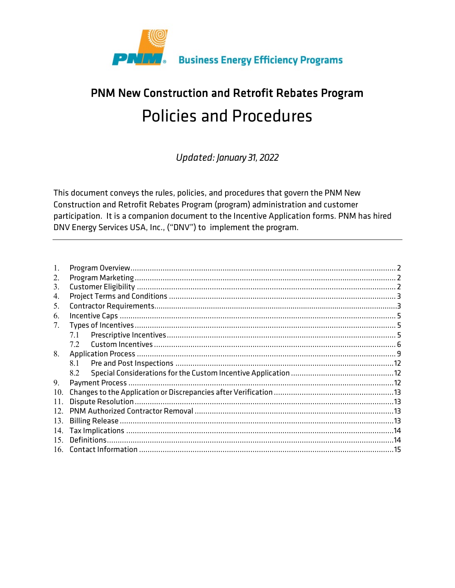

# PNM New Construction and Retrofit Rebates Program **Policies and Procedures**

Updated: January 31, 2022

This document conveys the rules, policies, and procedures that govern the PNM New Construction and Retrofit Rebates Program (program) administration and customer participation. It is a companion document to the Incentive Application forms. PNM has hired DNV Energy Services USA, Inc., ("DNV") to implement the program.

| 1.              |     |  |
|-----------------|-----|--|
| 2.              |     |  |
| 3.              |     |  |
| 4.              |     |  |
| 5.              |     |  |
| 6.              |     |  |
| 7.              |     |  |
|                 | 7.1 |  |
|                 | 7.2 |  |
| 8.              |     |  |
|                 | 8.1 |  |
|                 | 8.2 |  |
| 9.              |     |  |
| 10.             |     |  |
| 11.             |     |  |
| 12 <sup>7</sup> |     |  |
| 13.             |     |  |
| 14.             |     |  |
| 15              |     |  |
|                 |     |  |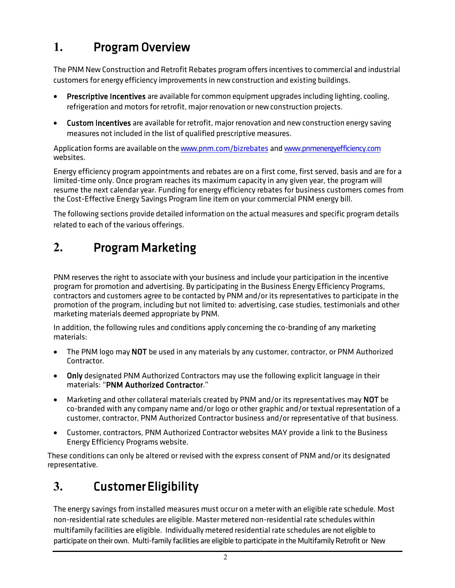# **1.** Program Overview

The PNM New Construction and Retrofit Rebates program offers incentives to commercial and industrial customers for energy efficiency improvements in new construction and existing buildings.

- Prescriptive Incentives are available for common equipment upgrades including lighting, cooling, refrigeration and motors for retrofit, major renovation or new construction projects.
- Custom Incentives are available for retrofit, major renovation and new construction energy saving measures not included in the list of qualified prescriptive measures.

Application forms are available on th[ewww.pnm.com/bizrebates](http://www.pnm.com/bizrebates) an[dwww.pnmenergyefficiency.com](http://www.pnmenergyefficiency.com/) websites.

Energy efficiency program appointments and rebates are on a first come, first served, basis and are for a limited-time only. Once program reaches its maximum capacity in any given year, the program will resume the next calendar year. Funding for energy efficiency rebates for business customers comes from the Cost-Effective Energy Savings Program line item on your commercial PNM energy bill.

The following sections provide detailed information on the actual measures and specific program details related to each of the various offerings.

# **2.** Program Marketing

PNM reserves the right to associate with your business and include your participation in the incentive program for promotion and advertising. By participating in the Business Energy Efficiency Programs, contractors and customers agree to be contacted by PNM and/or its representatives to participate in the promotion of the program, including but not limited to: advertising, case studies, testimonials and other marketing materials deemed appropriate by PNM.

In addition, the following rules and conditions apply concerning the co-branding of any marketing materials:

- The PNM logo may NOT be used in any materials by any customer, contractor, or PNM Authorized Contractor.
- Only designated PNM Authorized Contractors may use the following explicit language in their materials: "PNM Authorized Contractor."
- Marketing and other collateral materials created by PNM and/or its representatives may NOT be co-branded with any company name and/or logo or other graphic and/or textual representation of a customer, contractor, PNM Authorized Contractor business and/or representative of that business.
- Customer, contractors, PNM Authorized Contractor websites MAY provide a link to the Business Energy Efficiency Programs website.

These conditions can only be altered or revised with the express consent of PNM and/or its designated representative.

# **3.** Customer Eligibility

The energy savings from installed measures must occur on a meter with an eligible rate schedule. Most non-residential rate schedules are eligible. Master metered non-residential rate schedules within multifamily facilities are eligible. Individually metered residential rate schedules are not eligible to participate on their own. Multi-family facilities are eligible to participate in theMultifamily Retrofit or New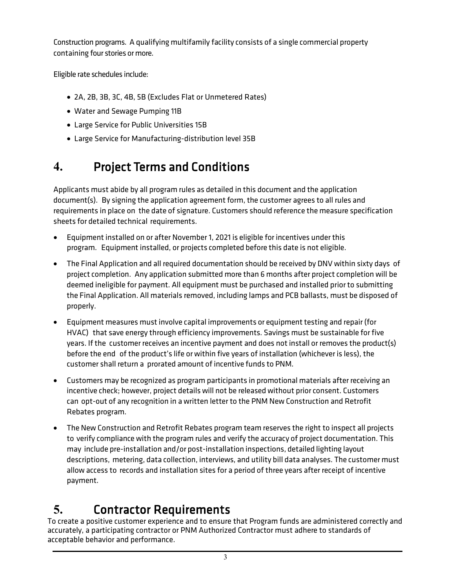Construction programs. A qualifying multifamily facility consists of a single commercial property containing four stories or more.

Eligible rate schedules include:

- 2A, 2B, 3B, 3C, 4B, 5B (Excludes Flat or Unmetered Rates)
- Water and Sewage Pumping 11B
- Large Service for Public Universities 15B
- Large Service for Manufacturing-distribution level 35B

# **4.** Project Terms and Conditions

Applicants must abide by all program rules as detailed in this document and the application document(s). By signing the application agreement form, the customer agrees to all rules and requirements in place on the date of signature. Customers should reference the measure specification sheets for detailed technical requirements.

- Equipment installed on or after November 1, 2021 is eligible for incentives under this program. Equipment installed, or projects completed before this date is not eligible.
- The Final Application and all required documentation should be received by DNV within sixty days of project completion. Any application submitted more than 6 months after project completion will be deemed ineligible for payment. All equipment must be purchased and installed priorto submitting the Final Application. All materials removed, including lamps and PCB ballasts, must be disposed of properly.
- Equipment measures must involve capital improvements or equipment testing and repair (for HVAC) that save energy through efficiency improvements. Savings must be sustainable for five years. If the customer receives an incentive payment and does not install or removes the product(s) before the end of the product's life or within five years of installation (whichever is less), the customer shall return a prorated amount of incentive funds to PNM.
- Customers may be recognized as program participants in promotional materials after receiving an incentive check; however, project details will not be released without prior consent. Customers can opt-out of any recognition in a written letter to the PNM New Construction and Retrofit Rebates program.
- The New Construction and Retrofit Rebates program team reserves the right to inspect all projects to verify compliance with the program rules and verify the accuracy of project documentation. This may include pre-installation and/or post-installation inspections, detailed lighting layout descriptions, metering, data collection, interviews, and utility bill data analyses. The customer must allow access to records and installation sites for a period of three years after receipt of incentive payment.

# **5.** Contractor Requirements

To create a positive customer experience and to ensure that Program funds are administered correctly and accurately, a participating contractor or PNM Authorized Contractor must adhere to standards of acceptable behavior and performance.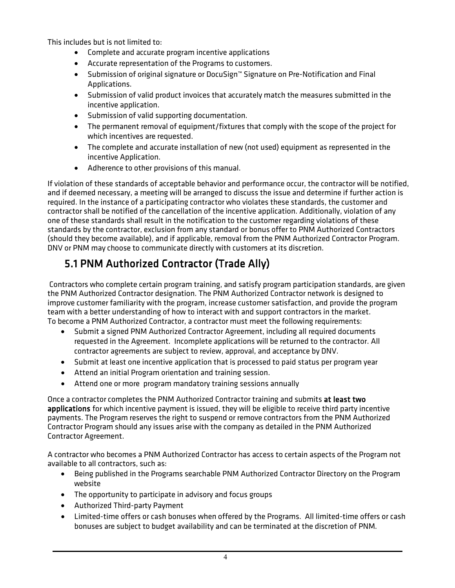This includes but is not limited to:

- Complete and accurate program incentive applications
- Accurate representation of the Programs to customers.
- Submission of original signature or DocuSign™ Signature on Pre-Notification and Final Applications.
- Submission of valid product invoices that accurately match the measures submitted in the incentive application.
- Submission of valid supporting documentation.
- The permanent removal of equipment/fixtures that comply with the scope of the project for which incentives are requested.
- The complete and accurate installation of new (not used) equipment as represented in the incentive Application.
- Adherence to other provisions of this manual.

If violation of these standards of acceptable behavior and performance occur, the contractor will be notified, and if deemed necessary, a meeting will be arranged to discuss the issue and determine if further action is required. In the instance of a participating contractor who violates these standards, the customer and contractor shall be notified of the cancellation of the incentive application. Additionally, violation of any one of these standards shall result in the notification to the customer regarding violations of these standards by the contractor, exclusion from any standard or bonus offer to PNM Authorized Contractors (should they become available), and if applicable, removal from the PNM Authorized Contractor Program. DNV or PNM may choose to communicate directly with customers at its discretion.

### 5.1 PNM Authorized Contractor (Trade Ally)

Contractors who complete certain program training, and satisfy program participation standards, are given the PNM Authorized Contractor designation. The PNM Authorized Contractor network is designed to improve customer familiarity with the program, increase customer satisfaction, and provide the program team with a better understanding of how to interact with and support contractors in the market. To become a PNM Authorized Contractor, a contractor must meet the following requirements:

- Submit a signed PNM Authorized Contractor Agreement, including all required documents requested in the Agreement. Incomplete applications will be returned to the contractor. All contractor agreements are subject to review, approval, and acceptance by DNV.
- Submit at least one incentive application that is processed to paid status per program year
- Attend an initial Program orientation and training session.
- Attend one or more program mandatory training sessions annually

Once a contractor completes the PNM Authorized Contractor training and submits at least two applications for which incentive payment is issued, they will be eligible to receive third party incentive payments. The Program reserves the right to suspend or remove contractors from the PNM Authorized Contractor Program should any issues arise with the company as detailed in the PNM Authorized Contractor Agreement.

A contractor who becomes a PNM Authorized Contractor has access to certain aspects of the Program not available to all contractors, such as:

- Being published in the Programs searchable PNM Authorized Contractor Directory on the Program website
- The opportunity to participate in advisory and focus groups
- Authorized Third-party Payment
- Limited-time offers or cash bonuses when offered by the Programs. All limited-time offers or cash bonuses are subject to budget availability and can be terminated at the discretion of PNM.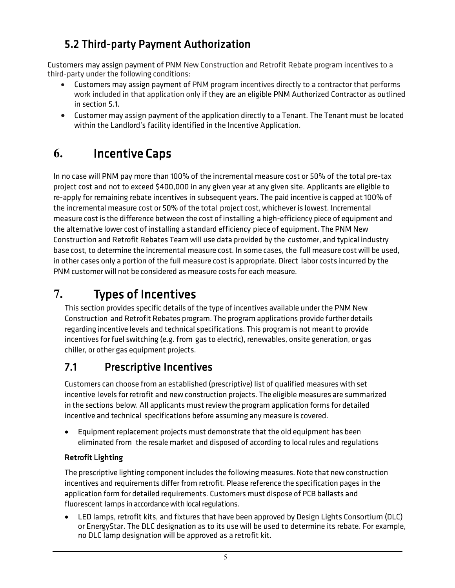### 5.2 Third-party Payment Authorization

Customers may assign payment of PNM New Construction and Retrofit Rebate program incentives to a third-party under the following conditions:

- Customers may assign payment of PNM program incentives directly to a contractor that performs work included in that application only if they are an eligible PNM Authorized Contractor as outlined in section 5.1.
- Customer may assign payment of the application directly to a Tenant. The Tenant must be located within the Landlord's facility identified in the Incentive Application.

## **6.** Incentive Caps

In no case will PNM pay more than 100% of the incremental measure cost or 50% of the total pre-tax project cost and not to exceed \$400,000 in any given year at any given site. Applicants are eligible to re-apply for remaining rebate incentives in subsequent years. The paid incentive is capped at 100% of the incremental measure cost or 50% of the total project cost, whichever is lowest. Incremental measure cost is the difference between the cost of installing a high-efficiency piece of equipment and the alternative lower cost of installing a standard efficiency piece of equipment. The PNM New Construction and Retrofit Rebates Team will use data provided by the customer, and typical industry base cost, to determine the incremental measure cost. In some cases, the full measure cost will be used, in other cases only a portion of the full measure cost is appropriate. Direct labor costs incurred by the PNM customer will not be considered as measure costs for each measure.

### **7.** Types of Incentives

This section provides specific details of the type of incentives available under the PNM New Construction and Retrofit Rebates program. The program applications provide further details regarding incentive levels and technical specifications. This program is not meant to provide incentives for fuel switching (e.g. from gas to electric), renewables, onsite generation, or gas chiller, or other gas equipment projects.

### 7.1 Prescriptive Incentives

Customers can choose from an established (prescriptive) list of qualified measures with set incentive levels for retrofit and new construction projects. The eligible measures are summarized in the sections below. All applicants must review the program application forms for detailed incentive and technical specifications before assuming any measure is covered.

• Equipment replacement projects must demonstrate that the old equipment has been eliminated from the resale market and disposed of according to local rules and regulations

#### Retrofit Lighting

The prescriptive lighting component includes the following measures. Note that new construction incentives and requirements differ from retrofit. Please reference the specification pages in the application form for detailed requirements. Customers must dispose of PCB ballasts and fluorescent lamps in accordance with local regulations.

• LED lamps, retrofit kits, and fixtures that have been approved by Design Lights Consortium (DLC) or EnergyStar. The DLC designation as to its use will be used to determine its rebate. For example, no DLC lamp designation will be approved as a retrofit kit.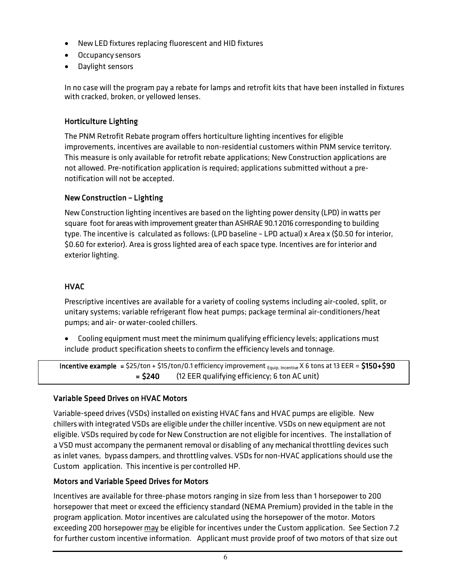- NewLED fixtures replacing fluorescent and HID fixtures
- Occupancy sensors
- Daylight sensors

In no case will the program pay a rebate for lamps and retrofit kits that have been installed in fixtures with cracked, broken, or yellowed lenses.

#### Horticulture Lighting

The PNM Retrofit Rebate program offers horticulture lighting incentives for eligible improvements, incentives are available to non-residential customers within PNM service territory. This measure is only available for retrofit rebate applications; New Construction applications are not allowed. Pre-notification application is required; applications submitted without a prenotification will not be accepted.

#### New Construction – Lighting

New Construction lighting incentives are based on the lighting power density (LPD) in watts per square foot for areas with improvement greater than ASHRAE 90.1 2016 corresponding to building type. The incentive is calculated as follows: (LPD baseline – LPD actual) x Area x (\$0.50 for interior, \$0.60 for exterior). Area is gross lighted area of each space type. Incentives are for interior and exterior lighting.

#### HVAC

٦

Prescriptive incentives are available for a variety of cooling systems including air-cooled, split, or unitary systems; variable refrigerant flow heat pumps; package terminal air-conditioners/heat pumps; and air- or water-cooled chillers.

• Cooling equipment must meet the minimum qualifying efficiency levels; applications must include product specification sheets to confirm the efficiency levels and tonnage.

**Incentive example** =  $$25/ton + $15/ton/0.1$  efficiency improvement  $_{Equip. Incentive}$  X 6 tons at 13 EER =  $$150+$90$ = \$240 (12 EER qualifying efficiency; 6 ton AC unit)

#### Variable Speed Drives on HVAC Motors

Variable-speed drives (VSDs) installed on existing HVAC fans and HVAC pumps are eligible. New chillers with integrated VSDs are eligible underthe chiller incentive. VSDs on new equipment are not eligible. VSDs required by code for New Construction are not eligible for incentives. The installation of a VSD must accompany the permanent removal or disabling of any mechanical throttling devices such as inlet vanes, bypass dampers, and throttling valves. VSDs for non-HVAC applications should use the Custom application. This incentive is per controlled HP.

#### Motors and Variable Speed Drives for Motors

Incentives are available for three-phase motors ranging in size from less than 1 horsepower to 200 horsepower that meet or exceed the efficiency standard (NEMA Premium) provided in the table in the program application. Motor incentives are calculated using the horsepower of the motor. Motors exceeding 200 horsepower may be eligible for incentives under the Custom application. See Section 7.2 for further custom incentive information. Applicant must provide proof of two motors of that size out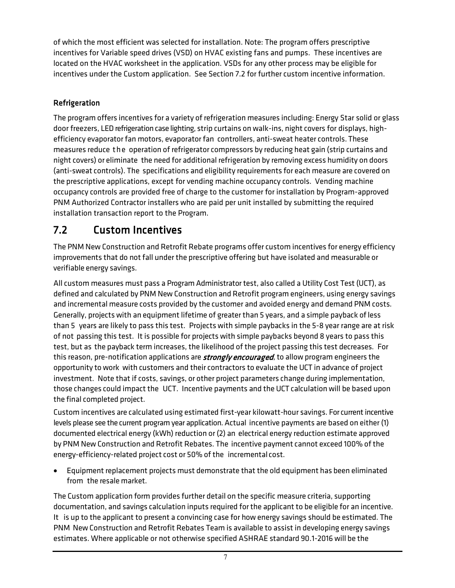of which the most efficient was selected for installation. Note: The program offers prescriptive incentives for Variable speed drives (VSD) on HVAC existing fans and pumps. These incentives are located on the HVAC worksheet in the application. VSDs for any other process may be eligible for incentives under the Custom application. See Section 7.2 for further custom incentive information.

#### Refrigeration

The program offers incentives for a variety of refrigeration measures including: Energy Star solid or glass door freezers, LED refrigeration case lighting, strip curtains on walk-ins, night covers for displays, highefficiency evaporator fan motors, evaporator fan controllers, anti-sweat heater controls. These measures reduce the operation of refrigerator compressors by reducing heat gain (strip curtains and night covers) or eliminate the need for additional refrigeration by removing excess humidity on doors (anti-sweat controls). The specifications and eligibility requirements for each measure are covered on the prescriptive applications, except for vending machine occupancy controls. Vending machine occupancy controls are provided free of charge to the customer for installation by Program-approved PNM Authorized Contractor installers who are paid per unit installed by submitting the required installation transaction report to the Program.

### 7.2 Custom Incentives

The PNM New Construction and Retrofit Rebate programs offer custom incentives for energy efficiency improvements that do not fall under the prescriptive offering but have isolated and measurable or verifiable energy savings.

All custom measures must pass a Program Administrator test, also called a Utility Cost Test (UCT), as defined and calculated by PNM New Construction and Retrofit program engineers, using energy savings and incremental measure costs provided by the customer and avoided energy and demand PNM costs. Generally, projects with an equipment lifetime of greaterthan 5 years, and a simple payback of less than 5 years are likely to pass this test. Projects with simple paybacks in the 5-8 year range are at risk of not passing this test. It is possible for projects with simple paybacks beyond 8 years to pass this test, but as the payback term increases, the likelihood of the project passing this test decreases. For this reason, pre-notification applications are *strongly encouraged*, to allow program engineers the opportunity to work with customers and their contractors to evaluate the UCT in advance of project investment. Note that if costs, savings, or other project parameters change during implementation, those changes could impact the UCT. Incentive payments and the UCT calculation will be based upon the final completed project.

Custom incentives are calculated using estimated first-year kilowatt-hour savings. For current incentive levels please see the current program year application. Actual incentive payments are based on either (1) documented electrical energy (kWh) reduction or (2) an electrical energy reduction estimate approved by PNM New Construction and Retrofit Rebates. The incentive payment cannot exceed 100% of the energy-efficiency-related project cost or 50% of the incremental cost.

• Equipment replacement projects must demonstrate that the old equipment has been eliminated from the resale market.

The Custom application form provides further detail on the specific measure criteria, supporting documentation, and savings calculation inputs required forthe applicant to be eligible for an incentive. It is up to the applicant to present a convincing case for how energy savings should be estimated. The PNM New Construction and Retrofit Rebates Team is available to assist in developing energy savings estimates. Where applicable or not otherwise specified ASHRAE standard 90.1-2016 will be the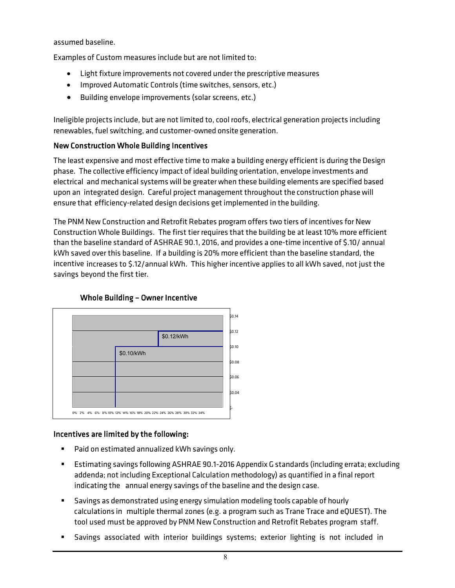assumed baseline.

Examples of Custom measures include but are not limited to:

- Light fixture improvements not covered under the prescriptive measures
- Improved Automatic Controls (time switches, sensors, etc.)
- Building envelope improvements (solar screens, etc.)

Ineligible projects include, but are not limited to, cool roofs, electrical generation projects including renewables, fuel switching, and customer-owned onsite generation.

#### New Construction Whole Building Incentives

The least expensive and most effective time to make a building energy efficient is during the Design phase. The collective efficiency impact of ideal building orientation, envelope investments and electrical and mechanical systems will be greater when these building elements are specified based upon an integrated design. Careful project management throughout the construction phase will ensure that efficiency-related design decisions get implemented in the building.

The PNM New Construction and Retrofit Rebates program offers two tiers of incentives for New Construction Whole Buildings. The first tier requires that the building be at least 10% more efficient than the baseline standard of ASHRAE 90.1, 2016, and provides a one-time incentive of \$.10/ annual kWh saved over this baseline. If a building is 20% more efficient than the baseline standard, the incentive increases to \$.12/annual kWh. This higher incentive applies to all kWh saved, not just the savings beyond the first tier.



#### Whole Building – Owner Incentive

#### Incentives are limited by the following:

- Paid on estimated annualized kWh savings only.
- Estimating savings following ASHRAE 90.1-2016 Appendix G standards (including errata; excluding addenda; not including Exceptional Calculation methodology) as quantified in a final report indicating the annual energy savings of the baseline and the design case.
- Savings as demonstrated using energy simulation modeling tools capable of hourly calculations in multiple thermal zones (e.g. a program such as Trane Trace and eQUEST). The tool used must be approved by PNM New Construction and Retrofit Rebates program staff.
- Savings associated with interior buildings systems; exterior lighting is not included in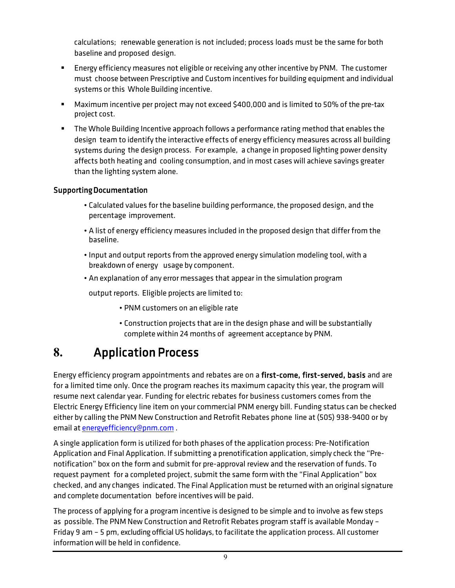calculations; renewable generation is not included; process loads must be the same for both baseline and proposed design.

- Energy efficiency measures not eligible or receiving any other incentive by PNM. The customer must choose between Prescriptive and Custom incentives for building equipment and individual systems or this Whole Building incentive.
- Maximum incentive per project may not exceed \$400,000 and is limited to 50% of the pre-tax project cost.
- The Whole Building Incentive approach follows a performance rating method that enables the design team to identify the interactive effects of energy efficiency measures across all building systems during the design process. For example, a change in proposed lighting power density affects both heating and cooling consumption, and in most cases will achieve savings greater than the lighting system alone.

#### Supporting Documentation

- Calculated values for the baseline building performance, the proposed design, and the percentage improvement.
- A list of energy efficiency measures included in the proposed design that differ from the baseline.
- Input and output reports from the approved energy simulation modeling tool, with a breakdown of energy usage by component.
- An explanation of any error messages that appear in the simulation program

output reports. Eligible projects are limited to:

- PNM customers on an eligible rate
- Construction projects that are in the design phase and will be substantially complete within 24 months of agreement acceptance by PNM.

### **8.** Application Process

Energy efficiency program appointments and rebates are on a first-come, first-served, basis and are for a limited time only. Once the program reaches its maximum capacity this year, the program will resume next calendar year. Funding for electric rebates for business customers comes from the Electric Energy Efficiency line item on your commercial PNM energy bill. Funding status can be checked either by calling the PNM New Construction and Retrofit Rebates phone line at (505) 938-9400 or by email at [energyefficiency@pnm.com](mailto:energyefficiency@pnm.com) .

A single application form is utilized for both phases ofthe application process: Pre-Notification Application and Final Application. If submitting a prenotification application, simply check the "Prenotification" box on the form and submit for pre-approval review and the reservation of funds. To request payment for a completed project, submit the same form with the "Final Application" box checked, and any changes indicated. The Final Application must be returnedwith an original signature and complete documentation before incentives will be paid.

The process of applying for a program incentive is designed to be simple and to involve as few steps as possible. The PNM New Construction and Retrofit Rebates program staff is available Monday – Friday 9 am – 5 pm, excluding official US holidays, to facilitate the application process. All customer information will be held in confidence.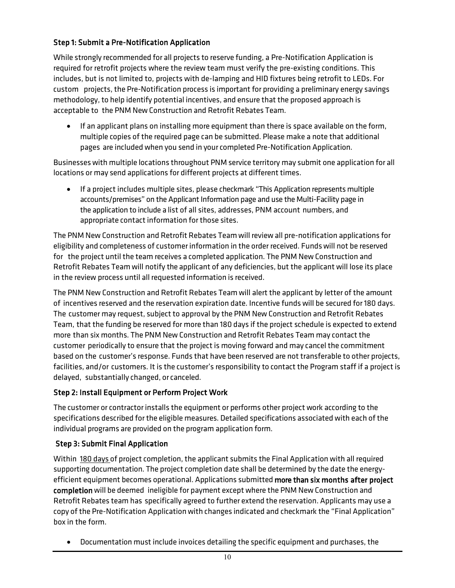#### Step 1: Submit a Pre-Notification Application

While strongly recommended for all projects to reserve funding, a Pre-Notification Application is required for retrofit projects where the review team must verify the pre-existing conditions. This includes, but is not limited to, projects with de-lamping and HID fixtures being retrofit to LEDs. For custom projects, the Pre-Notification process is important for providing a preliminary energy savings methodology, to help identify potential incentives, and ensure that the proposed approach is acceptable to the PNM New Construction and Retrofit Rebates Team.

• If an applicant plans on installing more equipment than there is space available on the form, multiple copies of the required page can be submitted. Please make a note that additional pages are included when you send in your completed Pre-Notification Application.

Businesses with multiple locations throughout PNM service territory may submit one application for all locations or may send applications for different projects at different times.

• If a project includes multiple sites, please checkmark "This Application represents multiple accounts/premises" on the Applicant Information page and use the Multi-Facility page in the application to include a list of all sites, addresses, PNM account numbers, and appropriate contact information for those sites.

The PNM New Construction and Retrofit Rebates Team will review all pre-notification applications for eligibility and completeness of customer information in the order received. Fundswill not be reserved for the project until the team receives a completed application. The PNM New Construction and Retrofit Rebates Team will notify the applicant of any deficiencies, but the applicant will lose its place in the review process until all requested information is received.

The PNM New Construction and Retrofit Rebates Team will alert the applicant by letter of the amount of incentives reserved and the reservation expiration date. Incentive funds will be secured for 180 days. The customer may request, subject to approval by the PNM New Construction and Retrofit Rebates Team, that the funding be reserved for more than 180 days ifthe project schedule is expected to extend more than six months. The PNM New Construction and Retrofit Rebates Team may contact the customer periodically to ensure that the project is moving forward and may cancelthe commitment based on the customer's response. Funds that have been reserved are not transferable to other projects, facilities, and/or customers. It is the customer's responsibility to contact the Program staff if a project is delayed, substantially changed, or canceled.

#### Step 2: Install Equipment or Perform Project Work

The customer or contractor installs the equipment or performs other project work according to the specifications described for the eligible measures. Detailed specifications associated with each of the individual programs are provided on the program application form.

#### Step 3: Submit Final Application

Within 180 days of project completion, the applicant submits the Final Application with all required supporting documentation. The project completion date shall be determined by the date the energyefficient equipment becomes operational. Applications submitted more than six months after project completion will be deemed ineligible for payment except where the PNM New Construction and Retrofit Rebates team has specifically agreed to further extend the reservation. Applicants may use a copy of the Pre-Notification Application with changes indicated and checkmark the "Final Application" box in the form.

• Documentation must include invoices detailing the specific equipment and purchases, the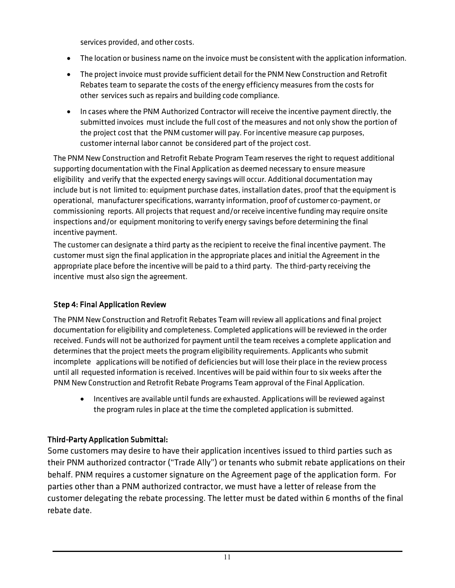services provided, and other costs.

- The location or business name on the invoice must be consistent with the application information.
- The project invoice must provide sufficient detail forthe PNM New Construction and Retrofit Rebates team to separate the costs of the energy efficiency measures from the costs for other services such as repairs and building code compliance.
- In cases where the PNM Authorized Contractor will receive the incentive payment directly, the submitted invoices must include the full cost of the measures and not only show the portion of the project cost that the PNM customer will pay. For incentive measure cap purposes, customer internal labor cannot be considered part of the project cost.

The PNM New Construction and Retrofit Rebate Program Team reserves the right to request additional supporting documentation with the Final Application as deemed necessary to ensure measure eligibility and verify that the expected energy savings will occur. Additional documentation may include but is not limited to: equipment purchase dates, installation dates, proof that the equipment is operational, manufacturer specifications,warranty information, proof of customer co-payment, or commissioning reports. All projects that request and/or receive incentive funding may require onsite inspections and/or equipment monitoring to verify energy savings before determining the final incentive payment.

The customer can designate a third party as the recipient to receive the final incentive payment. The customer must sign the final application in the appropriate places and initialthe Agreement in the appropriate place before the incentive will be paid to a third party. The third-party receiving the incentive must also sign the agreement.

#### Step 4: Final Application Review

The PNM New Construction and Retrofit Rebates Team will review all applications and final project documentation for eligibility and completeness. Completed applications will be reviewed in the order received. Funds will not be authorized for payment until the team receives a complete application and determines that the project meets the program eligibility requirements. Applicants who submit incomplete applications will be notified of deficiencies but will lose their place in the review process until all requested information is received. Incentives will be paid within four to six weeks afterthe PNM New Construction and Retrofit Rebate Programs Team approval ofthe Final Application.

• Incentives are available until funds are exhausted. Applications will be reviewed against the program rules in place at the time the completed application is submitted.

#### Third-Party Application Submittal:

Some customers may desire to have their application incentives issued to third parties such as their PNM authorized contractor ("Trade Ally") or tenants who submit rebate applications on their behalf. PNM requires a customer signature on the Agreement page of the application form. For parties other than a PNM authorized contractor, we must have a letter of release from the customer delegating the rebate processing. The letter must be dated within 6 months of the final rebate date.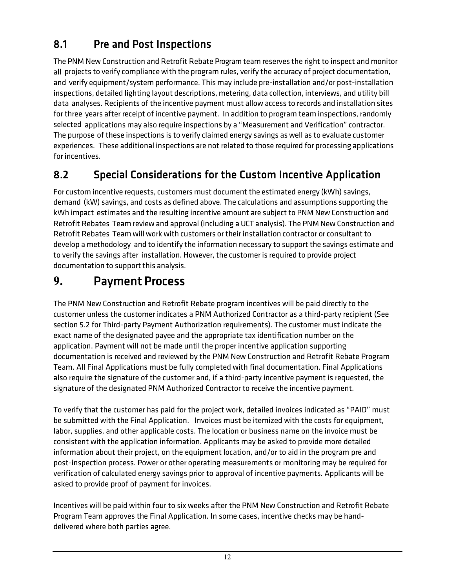### 8.1 Pre and Post Inspections

The PNM New Construction and Retrofit Rebate Program team reserves the right to inspect and monitor all projects to verify compliance with the program rules, verify the accuracy of project documentation, and verify equipment/system performance. This may include pre-installation and/or post-installation inspections, detailed lighting layout descriptions, metering, data collection, interviews, and utility bill data analyses. Recipients of the incentive payment must allow access to records and installation sites for three years after receipt of incentive payment. In addition to program team inspections, randomly selected applications may also require inspections by a "Measurement and Verification" contractor. The purpose ofthese inspections is to verify claimed energy savings as well as to evaluate customer experiences. These additional inspections are not related to those required for processing applications for incentives.

### 8.2 Special Considerations for the Custom Incentive Application

For custom incentive requests, customers must document the estimated energy (kWh) savings, demand (kW) savings, and costs as defined above. The calculations and assumptions supporting the kWh impact estimates and the resulting incentive amount are subject to PNM New Construction and Retrofit Rebates Team review and approval (including a UCT analysis). The PNM New Construction and Retrofit Rebates Team will work with customers ortheir installation contractor or consultantto develop a methodology and to identify the information necessary to support the savings estimate and to verify the savings after installation. However, the customer is required to provide project documentation to support this analysis.

## **9.** Payment Process

The PNM New Construction and Retrofit Rebate program incentives will be paid directly to the customer unless the customer indicates a PNM Authorized Contractor as a third-party recipient (See section 5.2 for Third-party Payment Authorization requirements). The customer must indicate the exact name of the designated payee and the appropriate tax identification number on the application. Payment will not be made until the proper incentive application supporting documentation is received and reviewed by the PNM New Construction and Retrofit Rebate Program Team. All Final Applications must be fully completed with final documentation. Final Applications also require the signature of the customer and, if a third-party incentive payment is requested, the signature of the designated PNM Authorized Contractor to receive the incentive payment.

To verify that the customer has paid for the project work, detailed invoices indicated as "PAID" must be submitted with the Final Application. Invoices must be itemized with the costs for equipment, labor, supplies, and other applicable costs. The location or business name on the invoice must be consistent with the application information. Applicants may be asked to provide more detailed information about their project, on the equipment location, and/or to aid in the program pre and post-inspection process. Power or other operating measurements or monitoring may be required for verification of calculated energy savings prior to approval of incentive payments. Applicants will be asked to provide proof of payment for invoices.

Incentives will be paid within four to six weeks after the PNM New Construction and Retrofit Rebate Program Team approves the Final Application. In some cases, incentive checks may be handdelivered where both parties agree.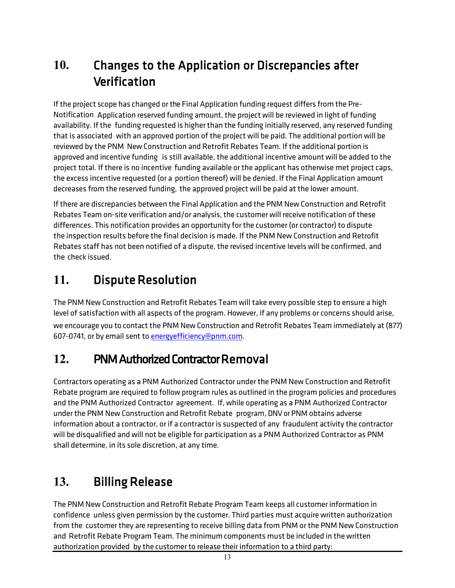## **10.** Changes to the Application or Discrepancies after Verification

Ifthe project scope has changed orthe Final Application funding request differs from the Pre-Notification Application reserved funding amount, the project will be reviewed in light of funding availability. If the funding requested is higher than the funding initially reserved, any reserved funding that is associated with an approved portion of the project will be paid. The additional portion will be reviewed by the PNM New Construction and Retrofit Rebates Team. If the additional portion is approved and incentive funding is still available, the additional incentive amount will be added to the project total. If there is no incentive funding available or the applicant has otherwise met project caps, the excess incentive requested (or a portion thereof) will be denied. If the Final Application amount decreases from the reserved funding, the approved project will be paid at the lower amount.

Ifthere are discrepancies between the Final Application and the PNM New Construction and Retrofit Rebates Team on-site verification and/or analysis, the customer will receive notification of these differences. This notification provides an opportunity for the customer (or contractor) to dispute the inspection results before the final decision is made. If the PNM New Construction and Retrofit Rebates staff has not been notified of a dispute, the revised incentive levels will be confirmed, and the check issued.

# **11.** Dispute Resolution

The PNM New Construction and Retrofit Rebates Team will take every possible step to ensure a high level of satisfaction with all aspects of the program. However, if any problems or concerns should arise, we encourage you to contact the PNM New Construction and Retrofit Rebates Team immediately at (877) 607-0741, or by email sent to [energyefficiency@pnm.com.](mailto:energyefficiency@pnm.com)

### **12.** PNM Authorized Contractor Removal

Contractors operating as a PNM Authorized Contractor under the PNM New Construction and Retrofit Rebate program are required to follow program rules as outlined in the program policies and procedures and the PNM Authorized Contractor agreement. If, while operating as a PNM Authorized Contractor underthe PNM New Construction and Retrofit Rebate program, DNV or PNM obtains adverse information about a contractor, or if a contractor is suspected of any fraudulent activity the contractor will be disqualified and will not be eligible for participation as a PNM Authorized Contractor as PNM shall determine, in its sole discretion, at any time.

# **13.** Billing Release

The PNM New Construction and Retrofit Rebate Program Team keeps all customer information in confidence unless given permission by the customer. Third parties must acquirewritten authorization from the customer they are representing to receive billing data from PNM or the PNM New Construction and Retrofit Rebate Program Team. The minimum components must be included in the written authorization provided by the customer to release their information to a third party: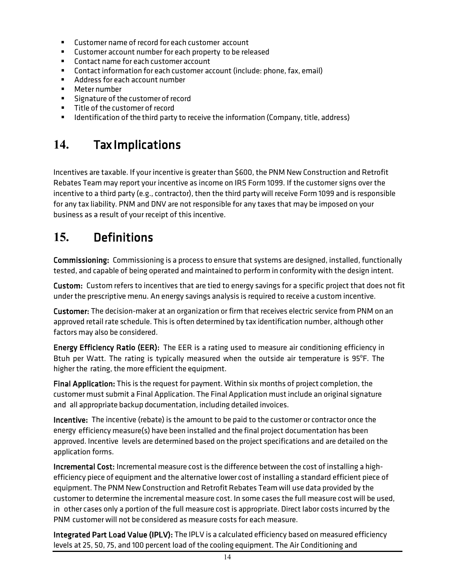- **EXECUTE CUSTOMER DETECT** of record for each customer account
- **EXECUTE:** Customer account number for each property to be released
- **EXECONTER 12 CONTACT DETECT 12 CONTER**
- Contactinformation for each customer account (include: phone, fax, email)
- Address for each account number
- Meter number
- **Signature of the customer of record**
- **Title of the customer of record**
- **IDENTIFICATION ATTLE 10 ISON CONTIFICATION I** dentised information (Company, title, address)

### **14.** Tax Implications

Incentives are taxable. If your incentive is greater than \$600, the PNM New Construction and Retrofit Rebates Team may report your incentive as income on IRS Form 1099. If the customer signs over the incentive to a third party (e.g., contractor), then the third party will receive Form 1099 and is responsible for any tax liability. PNM and DNV are not responsible for any taxes that may be imposed on your business as a result of your receipt of this incentive.

### **15.** Definitions

Commissioning: Commissioning is a process to ensure that systems are designed, installed, functionally tested, and capable of being operated and maintained to perform in conformity with the design intent.

Custom: Custom refers to incentives that are tied to energy savings for a specific project that does not fit underthe prescriptive menu. An energy savings analysis is required to receive a custom incentive.

Customer: The decision-maker at an organization or firm that receives electric service from PNM on an approved retail rate schedule. This is often determined by tax identification number, although other factors may also be considered.

Energy Efficiency Ratio (EER): The EER is a rating used to measure air conditioning efficiency in Btuh per Watt. The rating is typically measured when the outside air temperature is 95°F. The higher the rating, the more efficient the equipment.

Final Application: This is the request for payment. Within six months of project completion, the customer must submit a Final Application. The Final Application must include an original signature and all appropriate backup documentation, including detailed invoices.

Incentive: The incentive (rebate) is the amount to be paid to the customer or contractor once the energy efficiency measure(s) have been installed and the final project documentation has been approved. Incentive levels are determined based on the project specifications and are detailed on the application forms.

Incremental Cost: Incremental measure cost is the difference between the cost of installing a highefficiency piece of equipment and the alternative lower cost of installing a standard efficient piece of equipment. The PNM NewConstruction and Retrofit Rebates Team will use data provided by the customerto determine the incremental measure cost. In some cases the full measure cost will be used, in other cases only a portion of the full measure cost is appropriate. Direct labor costs incurred by the PNM customer will not be considered as measure costs for each measure.

Integrated Part Load Value (IPLV): The IPLV is a calculated efficiency based on measured efficiency levels at 25, 50, 75, and 100 percent load ofthe cooling equipment. The Air Conditioning and